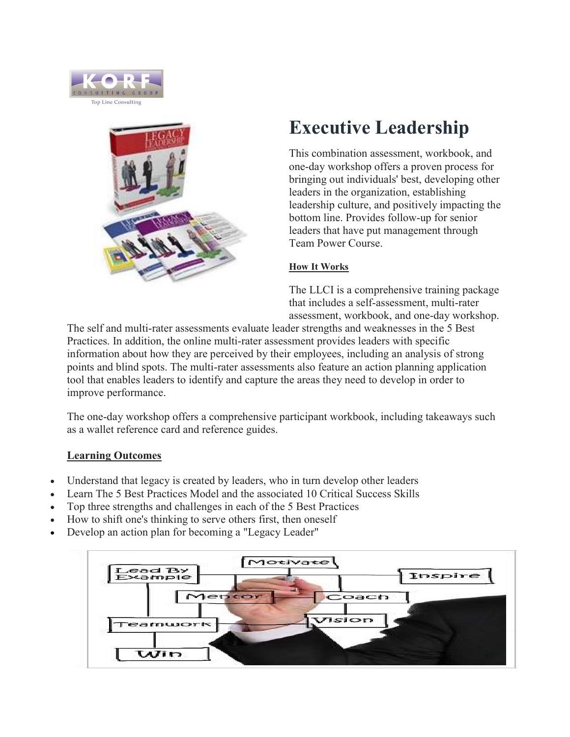



# Executive Leadership

This combination assessment, workbook, and one-day workshop offers a proven process for bringing out individuals' best, developing other leaders in the organization, establishing leadership culture, and positively impacting the bottom line. Provides follow-up for senior leaders that have put management through Team Power Course.

### How It Works

The LLCI is a comprehensive training package that includes a self-assessment, multi-rater assessment, workbook, and one-day workshop.

The self and multi-rater assessments evaluate leader strengths and weaknesses in the 5 Best Practices. In addition, the online multi-rater assessment provides leaders with specific information about how they are perceived by their employees, including an analysis of strong points and blind spots. The multi-rater assessments also feature an action planning application tool that enables leaders to identify and capture the areas they need to develop in order to improve performance.

The one-day workshop offers a comprehensive participant workbook, including takeaways such as a wallet reference card and reference guides.

### Learning Outcomes

- Understand that legacy is created by leaders, who in turn develop other leaders
- Learn The 5 Best Practices Model and the associated 10 Critical Success Skills
- Top three strengths and challenges in each of the 5 Best Practices
- How to shift one's thinking to serve others first, then oneself
- Develop an action plan for becoming a "Legacy Leader"